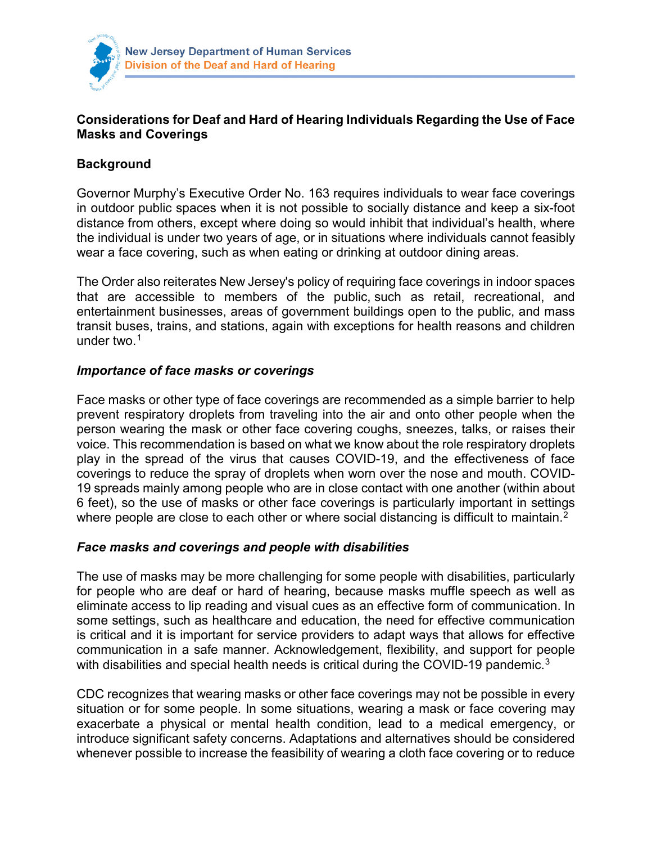

# **Considerations for Deaf and Hard of Hearing Individuals Regarding the Use of Face Masks and Coverings**

## **Background**

Governor Murphy's Executive Order No. 163 requires individuals to wear face coverings in outdoor public spaces when it is not possible to socially distance and keep a six-foot distance from others, except where doing so would inhibit that individual's health, where the individual is under two years of age, or in situations where individuals cannot feasibly wear a face covering, such as when eating or drinking at outdoor dining areas.

The Order also reiterates New Jersey's policy of requiring face coverings in indoor spaces that are accessible to members of the public, such as retail, recreational, and entertainment businesses, areas of government buildings open to the public, and mass transit buses, trains, and stations, again with exceptions for health reasons and children under two. $1$ 

### *Importance of face masks or coverings*

Face masks or other type of face coverings are recommended as a simple barrier to help prevent respiratory droplets from traveling into the air and onto other people when the person wearing the mask or other face covering coughs, sneezes, talks, or raises their voice. This recommendation is based on what we know about the role respiratory droplets play in the spread of the virus that causes COVID-19, and the effectiveness of face coverings to reduce the spray of droplets when worn over the nose and mouth. COVID-19 spreads mainly among people who are in close contact with one another (within about 6 feet), so the use of masks or other face coverings is particularly important in settings where people are close to each other or where social distancing is difficult to maintain.<sup>[2](#page-2-1)</sup>

### *Face masks and coverings and people with disabilities*

The use of masks may be more challenging for some people with disabilities, particularly for people who are deaf or hard of hearing, because masks muffle speech as well as eliminate access to lip reading and visual cues as an effective form of communication. In some settings, such as healthcare and education, the need for effective communication is critical and it is important for service providers to adapt ways that allows for effective communication in a safe manner. Acknowledgement, flexibility, and support for people with disabilities and special health needs is critical during the COVID-19 pandemic.<sup>[3](#page-2-2)</sup>

CDC recognizes that wearing masks or other face coverings may not be possible in every situation or for some people. In some situations, wearing a mask or face covering may exacerbate a physical or mental health condition, lead to a medical emergency, or introduce significant safety concerns. Adaptations and alternatives should be considered whenever possible to increase the feasibility of wearing a cloth face covering or to reduce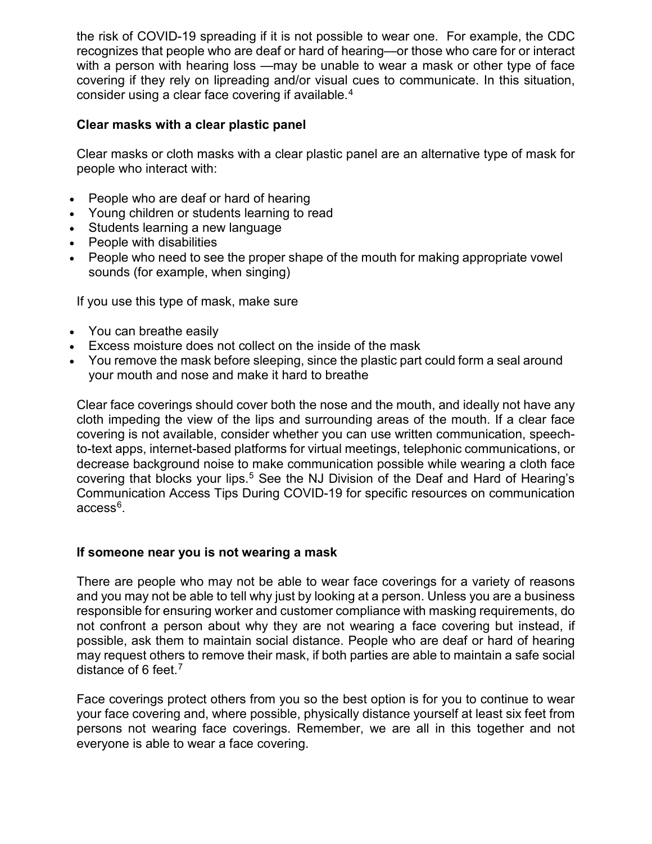the risk of COVID-19 spreading if it is not possible to wear one. For example, the CDC recognizes that people who are deaf or hard of hearing—or those who care for or interact with a person with hearing loss —may be unable to wear a mask or other type of face covering if they rely on lipreading and/or visual cues to communicate. In this situation, consider using a clear face covering if available. [4](#page-2-3)

### **Clear masks with a clear plastic panel**

Clear masks or cloth masks with a clear plastic panel are an alternative type of mask for people who interact with:

- People who are deaf or hard of hearing
- Young children or students learning to read
- Students learning a new language
- People with disabilities
- People who need to see the proper shape of the mouth for making appropriate vowel sounds (for example, when singing)

If you use this type of mask, make sure

- You can breathe easily
- Excess moisture does not collect on the inside of the mask
- You remove the mask before sleeping, since the plastic part could form a seal around your mouth and nose and make it hard to breathe

Clear face coverings should cover both the nose and the mouth, and ideally not have any cloth impeding the view of the lips and surrounding areas of the mouth. If a clear face covering is not available, consider whether you can use written communication, speechto-text apps, internet-based platforms for virtual meetings, telephonic communications, or decrease background noise to make communication possible while wearing a cloth face covering that blocks your lips.<sup>[5](#page-2-4)</sup> See the NJ Division of the Deaf and Hard of Hearing's Communication Access Tips During COVID-19 for specific resources on communication access<sup>[6](#page-2-5)</sup>.

### **If someone near you is not wearing a mask**

There are people who may not be able to wear face coverings for a variety of reasons and you may not be able to tell why just by looking at a person. Unless you are a business responsible for ensuring worker and customer compliance with masking requirements, do not confront a person about why they are not wearing a face covering but instead, if possible, ask them to maintain social distance. People who are deaf or hard of hearing may request others to remove their mask, if both parties are able to maintain a safe social distance of 6 feet.[7](#page-2-6)

Face coverings protect others from you so the best option is for you to continue to wear your face covering and, where possible, physically distance yourself at least six feet from persons not wearing face coverings. Remember, we are all in this together and not everyone is able to wear a face covering.